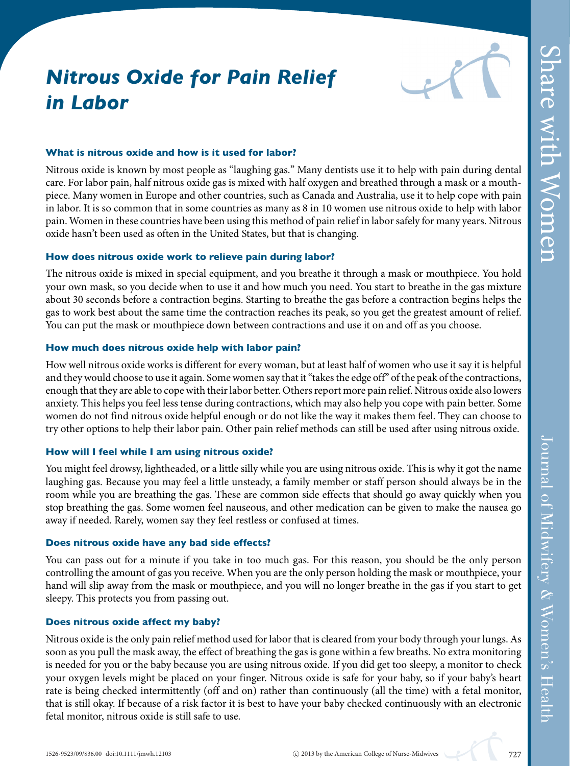# *Nitrous Oxide for Pain Relief in Labor*



## **What is nitrous oxide and how is it used for labor?**

Nitrous oxide is known by most people as "laughing gas." Many dentists use it to help with pain during dental care. For labor pain, half nitrous oxide gas is mixed with half oxygen and breathed through a mask or a mouthpiece. Many women in Europe and other countries, such as Canada and Australia, use it to help cope with pain in labor. It is so common that in some countries as many as 8 in 10 women use nitrous oxide to help with labor pain. Women in these countries have been using this method of pain relief in labor safely for many years. Nitrous oxide hasn't been used as often in the United States, but that is changing.

## **How does nitrous oxide work to relieve pain during labor?**

The nitrous oxide is mixed in special equipment, and you breathe it through a mask or mouthpiece. You hold your own mask, so you decide when to use it and how much you need. You start to breathe in the gas mixture about 30 seconds before a contraction begins. Starting to breathe the gas before a contraction begins helps the gas to work best about the same time the contraction reaches its peak, so you get the greatest amount of relief. You can put the mask or mouthpiece down between contractions and use it on and off as you choose.

## **How much does nitrous oxide help with labor pain?**

How well nitrous oxide works is different for every woman, but at least half of women who use it say it is helpful and they would choose to use it again. Some women say that it "takes the edge off" of the peak of the contractions, enough that they are able to cope with their labor better. Others report more pain relief. Nitrous oxide also lowers anxiety. This helps you feel less tense during contractions, which may also help you cope with pain better. Some women do not find nitrous oxide helpful enough or do not like the way it makes them feel. They can choose to try other options to help their labor pain. Other pain relief methods can still be used after using nitrous oxide.

# **How will I feel while I am using nitrous oxide?**

You might feel drowsy, lightheaded, or a little silly while you are using nitrous oxide. This is why it got the name laughing gas. Because you may feel a little unsteady, a family member or staff person should always be in the room while you are breathing the gas. These are common side effects that should go away quickly when you stop breathing the gas. Some women feel nauseous, and other medication can be given to make the nausea go away if needed. Rarely, women say they feel restless or confused at times.

# **Does nitrous oxide have any bad side effects?**

You can pass out for a minute if you take in too much gas. For this reason, you should be the only person controlling the amount of gas you receive. When you are the only person holding the mask or mouthpiece, your hand will slip away from the mask or mouthpiece, and you will no longer breathe in the gas if you start to get sleepy. This protects you from passing out.

# **Does nitrous oxide affect my baby?**

Nitrous oxide isthe only pain relief method used forlabor that is cleared from your body through yourlungs. As soon as you pull the mask away, the effect of breathing the gas is gone within a few breaths. No extra monitoring is needed for you or the baby because you are using nitrous oxide. If you did get too sleepy, a monitor to check your oxygen levels might be placed on your finger. Nitrous oxide is safe for your baby, so if your baby's heart rate is being checked intermittently (off and on) rather than continuously (all the time) with a fetal monitor, that is still okay. If because of a risk factor it is best to have your baby checked continuously with an electronic fetal monitor, nitrous oxide is still safe to use.